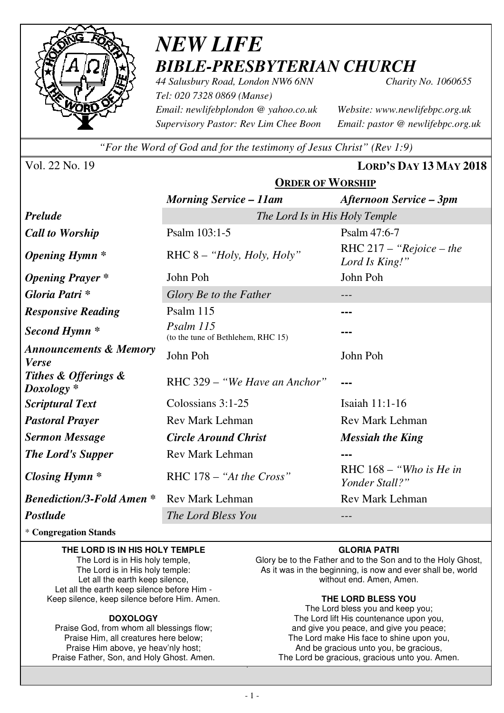

# *NEW LIFE BIBLE-PRESBYTERIAN CHURCH*

*44 Salusbury Road, London NW6 6NN Charity No. 1060655 Tel: 020 7328 0869 (Manse) Email: newlifebplondon @ yahoo.co.uk Website: www.newlifebpc.org.uk Supervisory Pastor: Rev Lim Chee Boon Email: pastor @ newlifebpc.org.uk* 

*"For the Word of God and for the testimony of Jesus Christ" (Rev 1:9)*

Vol. 22 No. 19 **LORD'S DAY 13 MAY 2018**

|                                                   | <b>ORDER OF WORSHIP</b>                         |                                              |  |  |
|---------------------------------------------------|-------------------------------------------------|----------------------------------------------|--|--|
|                                                   | <b>Morning Service – 11am</b>                   | <b>Afternoon Service – 3pm</b>               |  |  |
| <b>Prelude</b>                                    | The Lord Is in His Holy Temple                  |                                              |  |  |
| <b>Call to Worship</b>                            | Psalm 103:1-5                                   | Psalm 47:6-7                                 |  |  |
| <i><b>Opening Hymn</b></i> *                      | RHC $8 -$ "Holy, Holy, Holy"                    | RHC $217 -$ "Rejoice – the<br>Lord Is King!" |  |  |
| <b>Opening Prayer</b> *                           | John Poh                                        | John Poh                                     |  |  |
| Gloria Patri *                                    | Glory Be to the Father                          |                                              |  |  |
| <b>Responsive Reading</b>                         | Psalm 115                                       |                                              |  |  |
| Second Hymn <sup>*</sup>                          | Psalm 115<br>(to the tune of Bethlehem, RHC 15) |                                              |  |  |
| <b>Announcements &amp; Memory</b><br><b>Verse</b> | John Poh                                        | John Poh                                     |  |  |
| Tithes & Offerings &<br>$Doxology *$              | RHC 329 – "We Have an Anchor"                   |                                              |  |  |
| <b>Scriptural Text</b>                            | Colossians $3:1-25$                             | Isaiah 11:1-16                               |  |  |
| <b>Pastoral Prayer</b>                            | <b>Rev Mark Lehman</b>                          | <b>Rev Mark Lehman</b>                       |  |  |
| <b>Sermon Message</b>                             | <b>Circle Around Christ</b>                     | <b>Messiah the King</b>                      |  |  |
| <b>The Lord's Supper</b>                          | <b>Rev Mark Lehman</b>                          |                                              |  |  |
| Closing Hymn $*$                                  | RHC $178 - "At the Cross"$                      | RHC $168 - "Who is He in"$<br>Yonder Stall?" |  |  |
| <b>Benediction/3-Fold Amen *</b>                  | <b>Rev Mark Lehman</b>                          | <b>Rev Mark Lehman</b>                       |  |  |
| <b>Postlude</b>                                   | The Lord Bless You                              |                                              |  |  |

\* **Congregation Stands** 

#### **THE LORD IS IN HIS HOLY TEMPLE**

The Lord is in His holy temple, The Lord is in His holy temple: Let all the earth keep silence, Let all the earth keep silence before Him - Keep silence, keep silence before Him. Amen.

#### **DOXOLOGY**

Praise God, from whom all blessings flow; Praise Him, all creatures here below; Praise Him above, ye heav'nly host; Praise Father, Son, and Holy Ghost. Amen.

#### **GLORIA PATRI**

Glory be to the Father and to the Son and to the Holy Ghost, As it was in the beginning, is now and ever shall be, world without end. Amen, Amen.

#### **THE LORD BLESS YOU**

The Lord bless you and keep you; The Lord lift His countenance upon you, and give you peace, and give you peace; The Lord make His face to shine upon you, And be gracious unto you, be gracious, The Lord be gracious, gracious unto you. Amen.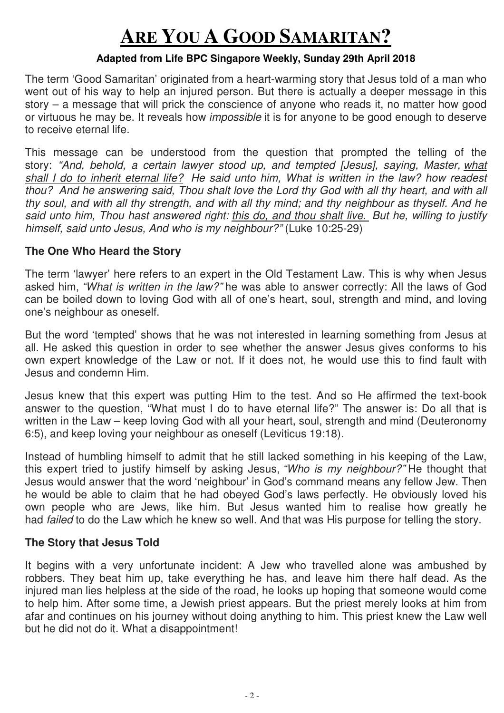# **ARE YOU A GOOD SAMARITAN?**

### **Adapted from Life BPC Singapore Weekly, Sunday 29th April 2018**

The term 'Good Samaritan' originated from a heart-warming story that Jesus told of a man who went out of his way to help an injured person. But there is actually a deeper message in this story – a message that will prick the conscience of anyone who reads it, no matter how good or virtuous he may be. It reveals how impossible it is for anyone to be good enough to deserve to receive eternal life.

This message can be understood from the question that prompted the telling of the story: "And, behold, a certain lawyer stood up, and tempted [Jesus], saying, Master, what shall I do to inherit eternal life? He said unto him, What is written in the law? how readest thou? And he answering said, Thou shalt love the Lord thy God with all thy heart, and with all thy soul, and with all thy strength, and with all thy mind; and thy neighbour as thyself. And he said unto him, Thou hast answered right: this do, and thou shalt live. But he, willing to justify himself, said unto Jesus, And who is my neighbour?" (Luke 10:25-29)

## **The One Who Heard the Story**

The term 'lawyer' here refers to an expert in the Old Testament Law. This is why when Jesus asked him, "What is written in the law?" he was able to answer correctly: All the laws of God can be boiled down to loving God with all of one's heart, soul, strength and mind, and loving one's neighbour as oneself.

But the word 'tempted' shows that he was not interested in learning something from Jesus at all. He asked this question in order to see whether the answer Jesus gives conforms to his own expert knowledge of the Law or not. If it does not, he would use this to find fault with Jesus and condemn Him.

Jesus knew that this expert was putting Him to the test. And so He affirmed the text-book answer to the question, "What must I do to have eternal life?" The answer is: Do all that is written in the Law – keep loving God with all your heart, soul, strength and mind (Deuteronomy 6:5), and keep loving your neighbour as oneself (Leviticus 19:18).

Instead of humbling himself to admit that he still lacked something in his keeping of the Law, this expert tried to justify himself by asking Jesus, "Who is my neighbour?" He thought that Jesus would answer that the word 'neighbour' in God's command means any fellow Jew. Then he would be able to claim that he had obeyed God's laws perfectly. He obviously loved his own people who are Jews, like him. But Jesus wanted him to realise how greatly he had *failed* to do the Law which he knew so well. And that was His purpose for telling the story.

#### **The Story that Jesus Told**

It begins with a very unfortunate incident: A Jew who travelled alone was ambushed by robbers. They beat him up, take everything he has, and leave him there half dead. As the injured man lies helpless at the side of the road, he looks up hoping that someone would come to help him. After some time, a Jewish priest appears. But the priest merely looks at him from afar and continues on his journey without doing anything to him. This priest knew the Law well but he did not do it. What a disappointment!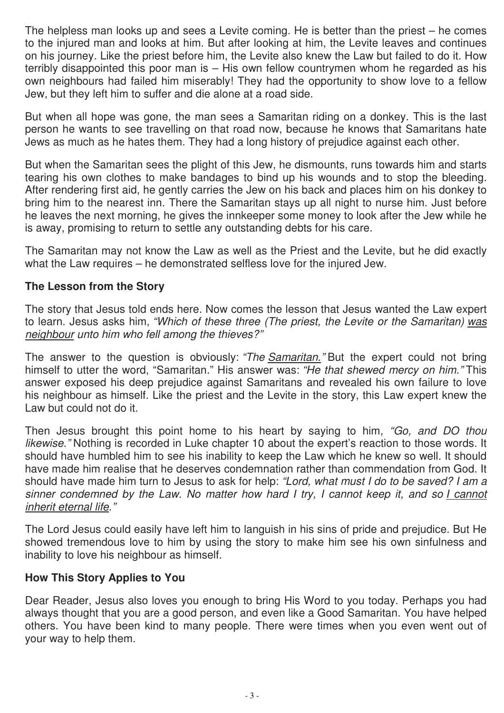The helpless man looks up and sees a Levite coming. He is better than the priest – he comes to the injured man and looks at him. But after looking at him, the Levite leaves and continues on his journey. Like the priest before him, the Levite also knew the Law but failed to do it. How terribly disappointed this poor man is – His own fellow countrymen whom he regarded as his own neighbours had failed him miserably! They had the opportunity to show love to a fellow Jew, but they left him to suffer and die alone at a road side.

But when all hope was gone, the man sees a Samaritan riding on a donkey. This is the last person he wants to see travelling on that road now, because he knows that Samaritans hate Jews as much as he hates them. They had a long history of prejudice against each other.

But when the Samaritan sees the plight of this Jew, he dismounts, runs towards him and starts tearing his own clothes to make bandages to bind up his wounds and to stop the bleeding. After rendering first aid, he gently carries the Jew on his back and places him on his donkey to bring him to the nearest inn. There the Samaritan stays up all night to nurse him. Just before he leaves the next morning, he gives the innkeeper some money to look after the Jew while he is away, promising to return to settle any outstanding debts for his care.

The Samaritan may not know the Law as well as the Priest and the Levite, but he did exactly what the Law requires – he demonstrated selfless love for the injured Jew.

## **The Lesson from the Story**

The story that Jesus told ends here. Now comes the lesson that Jesus wanted the Law expert to learn. Jesus asks him, "Which of these three (The priest, the Levite or the Samaritan) was neighbour unto him who fell among the thieves?"

The answer to the question is obviously: "The Samaritan." But the expert could not bring himself to utter the word, "Samaritan." His answer was: "He that shewed mercy on him." This answer exposed his deep prejudice against Samaritans and revealed his own failure to love his neighbour as himself. Like the priest and the Levite in the story, this Law expert knew the Law but could not do it.

Then Jesus brought this point home to his heart by saying to him, "Go, and DO thou likewise." Nothing is recorded in Luke chapter 10 about the expert's reaction to those words. It should have humbled him to see his inability to keep the Law which he knew so well. It should have made him realise that he deserves condemnation rather than commendation from God. It should have made him turn to Jesus to ask for help: "Lord, what must I do to be saved? I am a sinner condemned by the Law. No matter how hard I try, I cannot keep it, and so I cannot inherit eternal life."

The Lord Jesus could easily have left him to languish in his sins of pride and prejudice. But He showed tremendous love to him by using the story to make him see his own sinfulness and inability to love his neighbour as himself.

## **How This Story Applies to You**

Dear Reader, Jesus also loves you enough to bring His Word to you today. Perhaps you had always thought that you are a good person, and even like a Good Samaritan. You have helped others. You have been kind to many people. There were times when you even went out of your way to help them.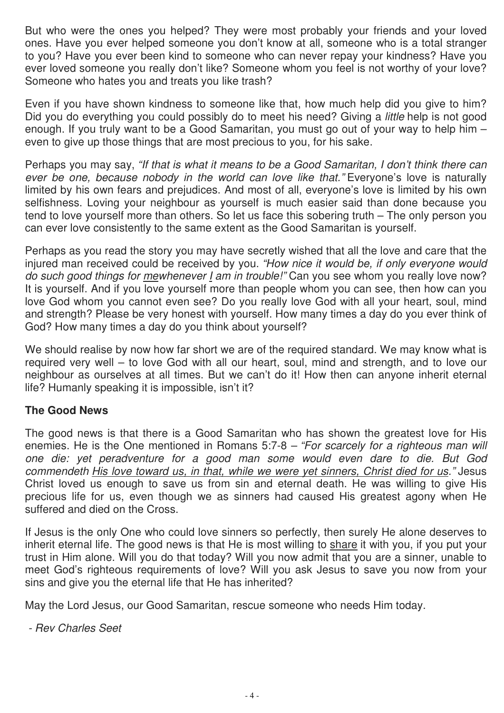But who were the ones you helped? They were most probably your friends and your loved ones. Have you ever helped someone you don't know at all, someone who is a total stranger to you? Have you ever been kind to someone who can never repay your kindness? Have you ever loved someone you really don't like? Someone whom you feel is not worthy of your love? Someone who hates you and treats you like trash?

Even if you have shown kindness to someone like that, how much help did you give to him? Did you do everything you could possibly do to meet his need? Giving a *little* help is not good enough. If you truly want to be a Good Samaritan, you must go out of your way to help him – even to give up those things that are most precious to you, for his sake.

Perhaps you may say, "If that is what it means to be a Good Samaritan, I don't think there can ever be one, because nobody in the world can love like that." Everyone's love is naturally limited by his own fears and prejudices. And most of all, everyone's love is limited by his own selfishness. Loving your neighbour as yourself is much easier said than done because you tend to love yourself more than others. So let us face this sobering truth – The only person you can ever love consistently to the same extent as the Good Samaritan is yourself.

Perhaps as you read the story you may have secretly wished that all the love and care that the injured man received could be received by you. "How nice it would be, if only everyone would do such good things for mewhenever I am in trouble!" Can you see whom you really love now? It is yourself. And if you love yourself more than people whom you can see, then how can you love God whom you cannot even see? Do you really love God with all your heart, soul, mind and strength? Please be very honest with yourself. How many times a day do you ever think of God? How many times a day do you think about yourself?

We should realise by now how far short we are of the required standard. We may know what is required very well – to love God with all our heart, soul, mind and strength, and to love our neighbour as ourselves at all times. But we can't do it! How then can anyone inherit eternal life? Humanly speaking it is impossible, isn't it?

## **The Good News**

The good news is that there is a Good Samaritan who has shown the greatest love for His enemies. He is the One mentioned in Romans 5:7-8 – "For scarcely for a righteous man will one die: yet peradventure for a good man some would even dare to die. But God commendeth His love toward us, in that, while we were yet sinners, Christ died for us." Jesus Christ loved us enough to save us from sin and eternal death. He was willing to give His precious life for us, even though we as sinners had caused His greatest agony when He suffered and died on the Cross.

If Jesus is the only One who could love sinners so perfectly, then surely He alone deserves to inherit eternal life. The good news is that He is most willing to share it with you, if you put your trust in Him alone. Will you do that today? Will you now admit that you are a sinner, unable to meet God's righteous requirements of love? Will you ask Jesus to save you now from your sins and give you the eternal life that He has inherited?

May the Lord Jesus, our Good Samaritan, rescue someone who needs Him today.

- Rev Charles Seet